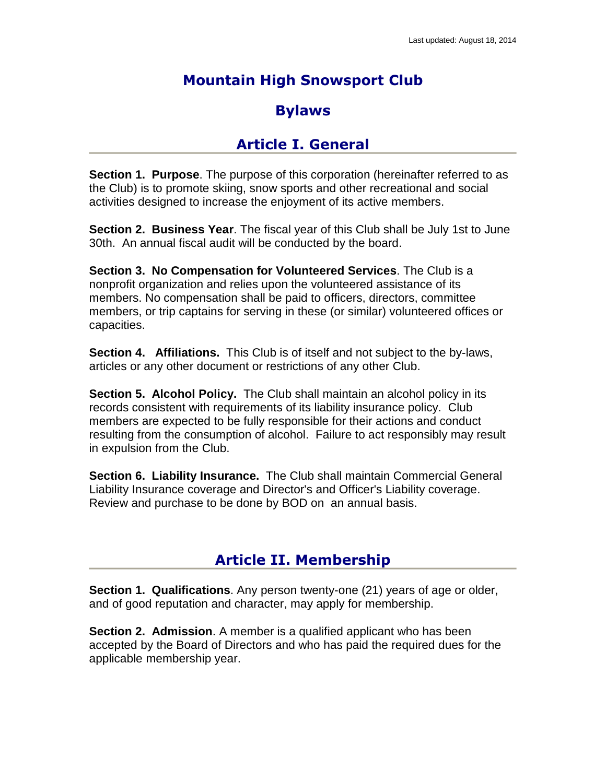# **Mountain High Snowsport Club**

## **Bylaws**

### **Article I. General**

**Section 1. Purpose**. The purpose of this corporation (hereinafter referred to as the Club) is to promote skiing, snow sports and other recreational and social activities designed to increase the enjoyment of its active members.

**Section 2. Business Year**. The fiscal year of this Club shall be July 1st to June 30th. An annual fiscal audit will be conducted by the board.

**Section 3. No Compensation for Volunteered Services**. The Club is a nonprofit organization and relies upon the volunteered assistance of its members. No compensation shall be paid to officers, directors, committee members, or trip captains for serving in these (or similar) volunteered offices or capacities.

**Section 4. Affiliations.** This Club is of itself and not subject to the by-laws, articles or any other document or restrictions of any other Club.

**Section 5. Alcohol Policy.** The Club shall maintain an alcohol policy in its records consistent with requirements of its liability insurance policy. Club members are expected to be fully responsible for their actions and conduct resulting from the consumption of alcohol. Failure to act responsibly may result in expulsion from the Club.

**Section 6. Liability Insurance.** The Club shall maintain Commercial General Liability Insurance coverage and Director's and Officer's Liability coverage. Review and purchase to be done by BOD on an annual basis.

## **Article II. Membership**

**Section 1. Qualifications**. Any person twenty-one (21) years of age or older, and of good reputation and character, may apply for membership.

**Section 2. Admission**. A member is a qualified applicant who has been accepted by the Board of Directors and who has paid the required dues for the applicable membership year.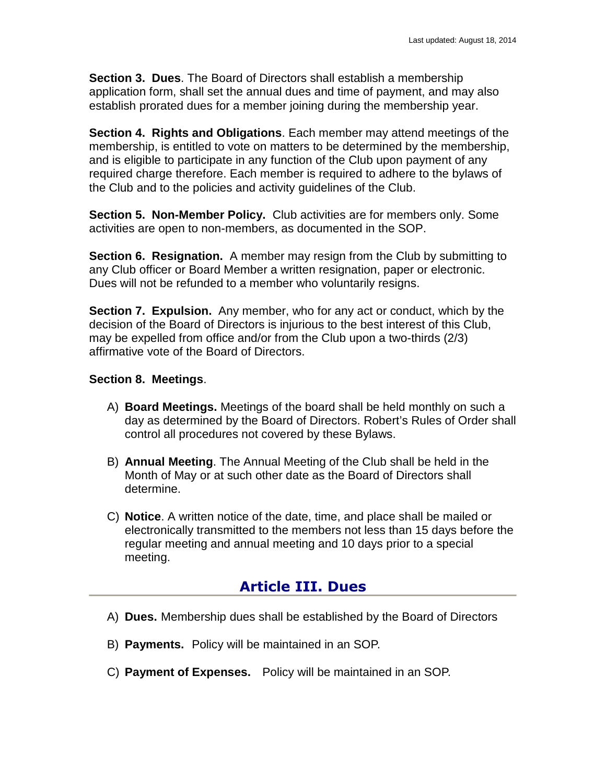**Section 3. Dues**. The Board of Directors shall establish a membership application form, shall set the annual dues and time of payment, and may also establish prorated dues for a member joining during the membership year.

**Section 4. Rights and Obligations**. Each member may attend meetings of the membership, is entitled to vote on matters to be determined by the membership, and is eligible to participate in any function of the Club upon payment of any required charge therefore. Each member is required to adhere to the bylaws of the Club and to the policies and activity guidelines of the Club.

**Section 5. Non-Member Policy.** Club activities are for members only. Some activities are open to non-members, as documented in the SOP.

**Section 6. Resignation.** A member may resign from the Club by submitting to any Club officer or Board Member a written resignation, paper or electronic. Dues will not be refunded to a member who voluntarily resigns.

**Section 7. Expulsion.** Any member, who for any act or conduct, which by the decision of the Board of Directors is injurious to the best interest of this Club, may be expelled from office and/or from the Club upon a two-thirds (2/3) affirmative vote of the Board of Directors.

#### **Section 8. Meetings**.

- A) **Board Meetings.** Meetings of the board shall be held monthly on such a day as determined by the Board of Directors. Robert's Rules of Order shall control all procedures not covered by these Bylaws.
- B) **Annual Meeting**. The Annual Meeting of the Club shall be held in the Month of May or at such other date as the Board of Directors shall determine.
- C) **Notice**. A written notice of the date, time, and place shall be mailed or electronically transmitted to the members not less than 15 days before the regular meeting and annual meeting and 10 days prior to a special meeting.

### **Article III. Dues**

- A) **Dues.** Membership dues shall be established by the Board of Directors
- B) **Payments.** Policy will be maintained in an SOP.
- C) **Payment of Expenses.** Policy will be maintained in an SOP.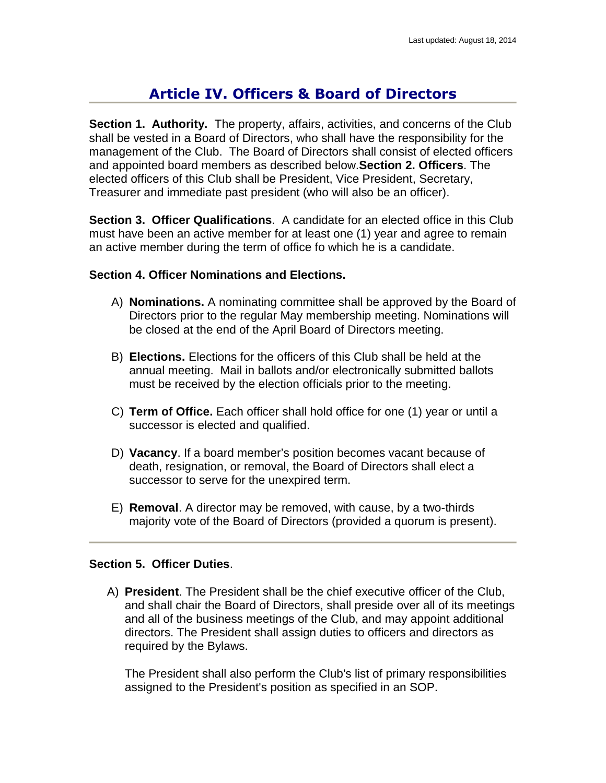## **Article IV. Officers & Board of Directors**

**Section 1. Authority.** The property, affairs, activities, and concerns of the Club shall be vested in a Board of Directors, who shall have the responsibility for the management of the Club. The Board of Directors shall consist of elected officers and appointed board members as described below.**Section 2. Officers**. The elected officers of this Club shall be President, Vice President, Secretary, Treasurer and immediate past president (who will also be an officer).

**Section 3. Officer Qualifications**. A candidate for an elected office in this Club must have been an active member for at least one (1) year and agree to remain an active member during the term of office fo which he is a candidate.

#### **Section 4. Officer Nominations and Elections.**

- A) **Nominations.** A nominating committee shall be approved by the Board of Directors prior to the regular May membership meeting. Nominations will be closed at the end of the April Board of Directors meeting.
- B) **Elections.** Elections for the officers of this Club shall be held at the annual meeting. Mail in ballots and/or electronically submitted ballots must be received by the election officials prior to the meeting.
- C) **Term of Office.** Each officer shall hold office for one (1) year or until a successor is elected and qualified.
- D) **Vacancy**. If a board member's position becomes vacant because of death, resignation, or removal, the Board of Directors shall elect a successor to serve for the unexpired term.
- E) **Removal**. A director may be removed, with cause, by a two-thirds majority vote of the Board of Directors (provided a quorum is present).

#### **Section 5. Officer Duties**.

A) **President**. The President shall be the chief executive officer of the Club, and shall chair the Board of Directors, shall preside over all of its meetings and all of the business meetings of the Club, and may appoint additional directors. The President shall assign duties to officers and directors as required by the Bylaws.

The President shall also perform the Club's list of primary responsibilities assigned to the President's position as specified in an SOP.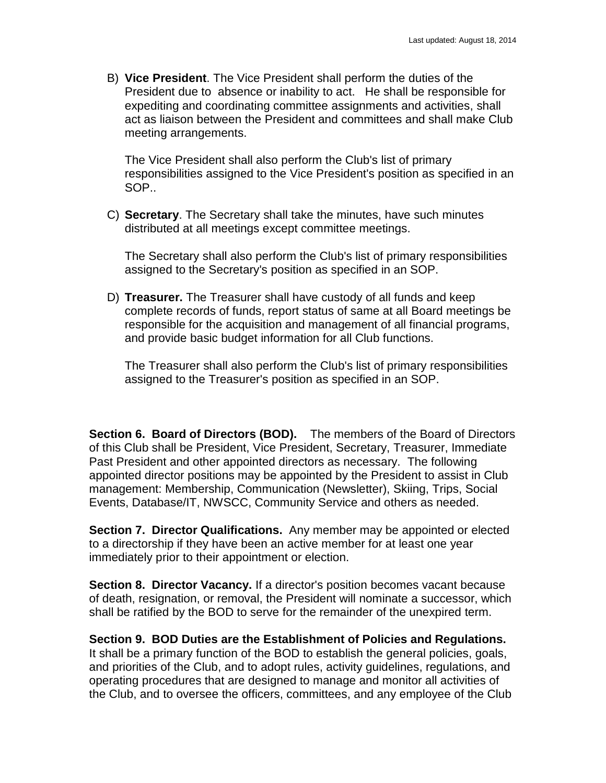B) **Vice President**. The Vice President shall perform the duties of the President due to absence or inability to act. He shall be responsible for expediting and coordinating committee assignments and activities, shall act as liaison between the President and committees and shall make Club meeting arrangements.

The Vice President shall also perform the Club's list of primary responsibilities assigned to the Vice President's position as specified in an SOP..

C) **Secretary**. The Secretary shall take the minutes, have such minutes distributed at all meetings except committee meetings.

The Secretary shall also perform the Club's list of primary responsibilities assigned to the Secretary's position as specified in an SOP.

D) **Treasurer.** The Treasurer shall have custody of all funds and keep complete records of funds, report status of same at all Board meetings be responsible for the acquisition and management of all financial programs, and provide basic budget information for all Club functions.

The Treasurer shall also perform the Club's list of primary responsibilities assigned to the Treasurer's position as specified in an SOP.

**Section 6. Board of Directors (BOD).** The members of the Board of Directors of this Club shall be President, Vice President, Secretary, Treasurer, Immediate Past President and other appointed directors as necessary. The following appointed director positions may be appointed by the President to assist in Club management: Membership, Communication (Newsletter), Skiing, Trips, Social Events, Database/IT, NWSCC, Community Service and others as needed.

**Section 7. Director Qualifications.** Any member may be appointed or elected to a directorship if they have been an active member for at least one year immediately prior to their appointment or election.

**Section 8. Director Vacancy.** If a director's position becomes vacant because of death, resignation, or removal, the President will nominate a successor, which shall be ratified by the BOD to serve for the remainder of the unexpired term.

**Section 9. BOD Duties are the Establishment of Policies and Regulations.**  It shall be a primary function of the BOD to establish the general policies, goals, and priorities of the Club, and to adopt rules, activity guidelines, regulations, and operating procedures that are designed to manage and monitor all activities of the Club, and to oversee the officers, committees, and any employee of the Club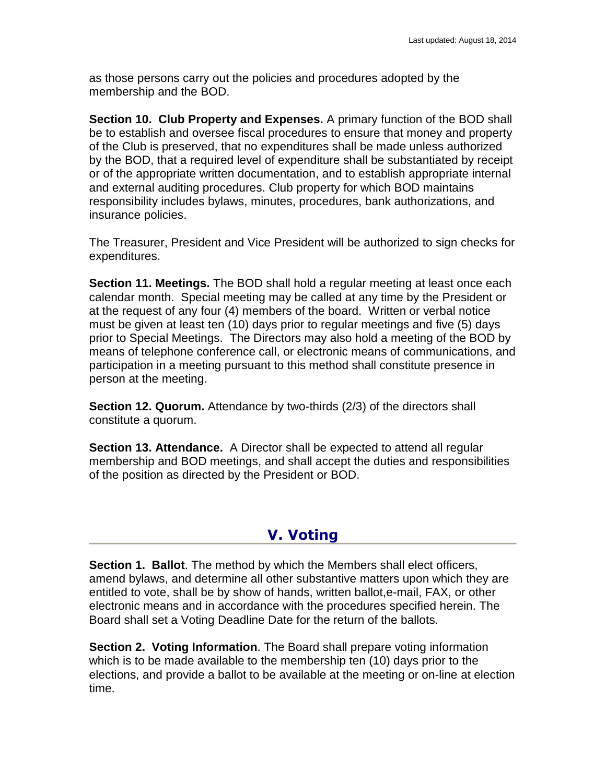as those persons carry out the policies and procedures adopted by the membership and the BOD.

**Section 10. Club Property and Expenses.** A primary function of the BOD shall be to establish and oversee fiscal procedures to ensure that money and property of the Club is preserved, that no expenditures shall be made unless authorized by the BOD, that a required level of expenditure shall be substantiated by receipt or of the appropriate written documentation, and to establish appropriate internal and external auditing procedures. Club property for which BOD maintains responsibility includes bylaws, minutes, procedures, bank authorizations, and insurance policies.

The Treasurer, President and Vice President will be authorized to sign checks for expenditures.

**Section 11. Meetings.** The BOD shall hold a regular meeting at least once each calendar month. Special meeting may be called at any time by the President or at the request of any four (4) members of the board. Written or verbal notice must be given at least ten (10) days prior to regular meetings and five (5) days prior to Special Meetings. The Directors may also hold a meeting of the BOD by means of telephone conference call, or electronic means of communications, and participation in a meeting pursuant to this method shall constitute presence in person at the meeting.

**Section 12. Quorum.** Attendance by two-thirds (2/3) of the directors shall constitute a quorum.

**Section 13. Attendance.** A Director shall be expected to attend all regular membership and BOD meetings, and shall accept the duties and responsibilities of the position as directed by the President or BOD.

## **V. Voting**

**Section 1. Ballot**. The method by which the Members shall elect officers, amend bylaws, and determine all other substantive matters upon which they are entitled to vote, shall be by show of hands, written ballot,e-mail, FAX, or other electronic means and in accordance with the procedures specified herein. The Board shall set a Voting Deadline Date for the return of the ballots.

**Section 2. Voting Information**. The Board shall prepare voting information which is to be made available to the membership ten (10) days prior to the elections, and provide a ballot to be available at the meeting or on-line at election time.